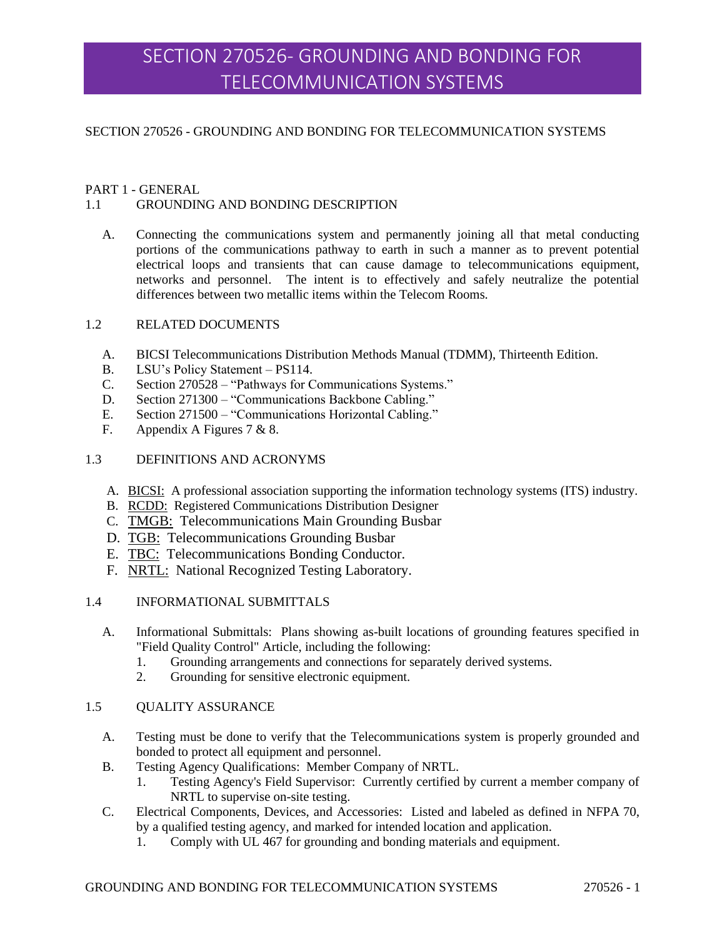# SECTION 270526- GROUNDING AND BONDING FOR TELECOMMUNICATION SYSTEMS

#### SECTION 270526 - GROUNDING AND BONDING FOR TELECOMMUNICATION SYSTEMS

#### PART 1 - GENERAL

#### 1.1 GROUNDING AND BONDING DESCRIPTION

A. Connecting the communications system and permanently joining all that metal conducting portions of the communications pathway to earth in such a manner as to prevent potential electrical loops and transients that can cause damage to telecommunications equipment, networks and personnel. The intent is to effectively and safely neutralize the potential differences between two metallic items within the Telecom Rooms.

#### 1.2 RELATED DOCUMENTS

- A. BICSI Telecommunications Distribution Methods Manual (TDMM), Thirteenth Edition.
- B. LSU's Policy Statement PS114.
- C. Section 270528 "Pathways for Communications Systems."
- D. Section 271300 "Communications Backbone Cabling."
- E. Section 271500 "Communications Horizontal Cabling."
- F. Appendix A Figures 7 & 8.

#### 1.3 DEFINITIONS AND ACRONYMS

- A. BICSI: A professional association supporting the information technology systems (ITS) industry.
- B. RCDD: Registered Communications Distribution Designer
- C. TMGB: Telecommunications Main Grounding Busbar
- D. TGB: Telecommunications Grounding Busbar
- E. TBC: Telecommunications Bonding Conductor.
- F. NRTL: National Recognized Testing Laboratory.

#### 1.4 INFORMATIONAL SUBMITTALS

- A. Informational Submittals: Plans showing as-built locations of grounding features specified in "Field Quality Control" Article, including the following:
	- 1. Grounding arrangements and connections for separately derived systems.
	- 2. Grounding for sensitive electronic equipment.

#### 1.5 QUALITY ASSURANCE

- A. Testing must be done to verify that the Telecommunications system is properly grounded and bonded to protect all equipment and personnel.
- B. Testing Agency Qualifications: Member Company of NRTL.
	- 1. Testing Agency's Field Supervisor: Currently certified by current a member company of NRTL to supervise on-site testing.
- C. Electrical Components, Devices, and Accessories: Listed and labeled as defined in NFPA 70, by a qualified testing agency, and marked for intended location and application.
	- 1. Comply with UL 467 for grounding and bonding materials and equipment.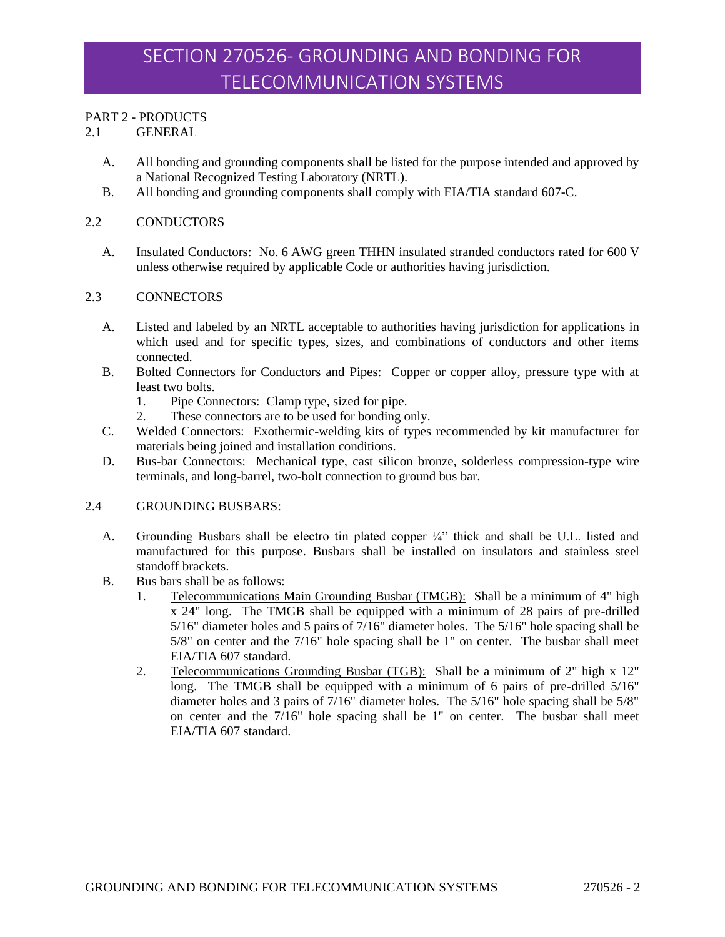# PART 2 - PRODUCTS

2.1 GENERAL

- A. All bonding and grounding components shall be listed for the purpose intended and approved by a National Recognized Testing Laboratory (NRTL).
- B. All bonding and grounding components shall comply with EIA/TIA standard 607-C.

#### 2.2 CONDUCTORS

A. Insulated Conductors: No. 6 AWG green THHN insulated stranded conductors rated for 600 V unless otherwise required by applicable Code or authorities having jurisdiction.

#### 2.3 CONNECTORS

- A. Listed and labeled by an NRTL acceptable to authorities having jurisdiction for applications in which used and for specific types, sizes, and combinations of conductors and other items connected.
- B. Bolted Connectors for Conductors and Pipes: Copper or copper alloy, pressure type with at least two bolts.
	- 1. Pipe Connectors: Clamp type, sized for pipe.
	- 2. These connectors are to be used for bonding only.
- C. Welded Connectors: Exothermic-welding kits of types recommended by kit manufacturer for materials being joined and installation conditions.
- D. Bus-bar Connectors: Mechanical type, cast silicon bronze, solderless compression-type wire terminals, and long-barrel, two-bolt connection to ground bus bar.

#### 2.4 GROUNDING BUSBARS:

- A. Grounding Busbars shall be electro tin plated copper ¼" thick and shall be U.L. listed and manufactured for this purpose. Busbars shall be installed on insulators and stainless steel standoff brackets.
- B. Bus bars shall be as follows:
	- 1. Telecommunications Main Grounding Busbar (TMGB): Shall be a minimum of 4" high x 24" long. The TMGB shall be equipped with a minimum of 28 pairs of pre-drilled 5/16" diameter holes and 5 pairs of  $7/16$ " diameter holes. The 5/16" hole spacing shall be  $5/8$ " on center and the  $7/16$ " hole spacing shall be 1" on center. The busbar shall meet EIA/TIA 607 standard.
	- 2. Telecommunications Grounding Busbar (TGB): Shall be a minimum of 2" high x 12" long. The TMGB shall be equipped with a minimum of 6 pairs of pre-drilled 5/16" diameter holes and 3 pairs of 7/16" diameter holes. The 5/16" hole spacing shall be 5/8" on center and the 7/16" hole spacing shall be 1" on center. The busbar shall meet EIA/TIA 607 standard.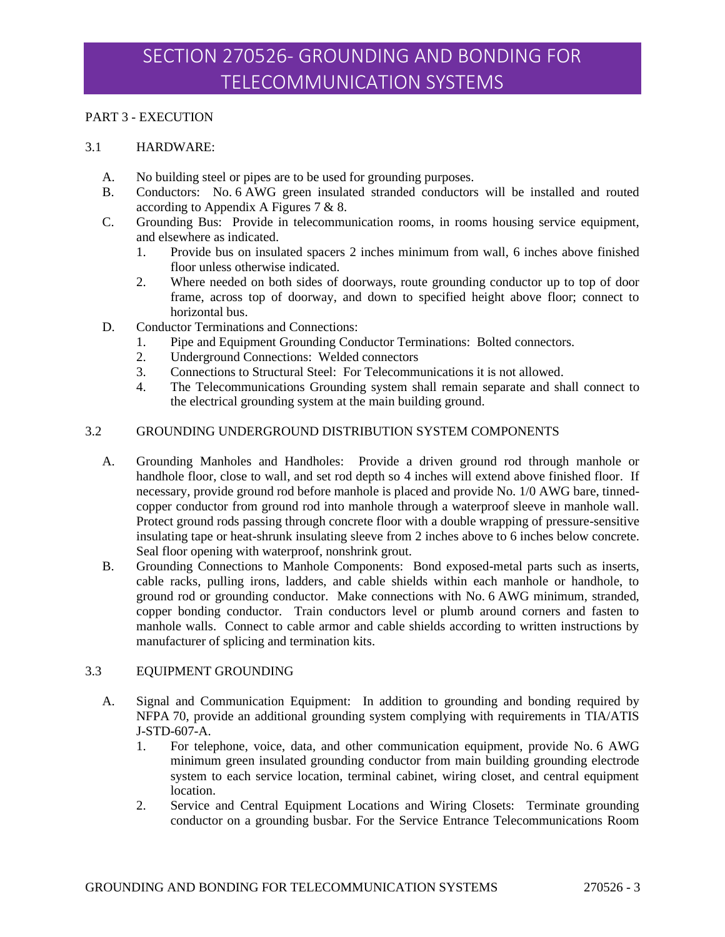### PART 3 - EXECUTION

#### 3.1 HARDWARE:

- A. No building steel or pipes are to be used for grounding purposes.
- B. Conductors: No. 6 AWG green insulated stranded conductors will be installed and routed according to Appendix A Figures 7 & 8.
- C. Grounding Bus: Provide in telecommunication rooms, in rooms housing service equipment, and elsewhere as indicated.
	- 1. Provide bus on insulated spacers 2 inches minimum from wall, 6 inches above finished floor unless otherwise indicated.
	- 2. Where needed on both sides of doorways, route grounding conductor up to top of door frame, across top of doorway, and down to specified height above floor; connect to horizontal bus.
- D. Conductor Terminations and Connections:
	- 1. Pipe and Equipment Grounding Conductor Terminations: Bolted connectors.
	- 2. Underground Connections: Welded connectors
	- 3. Connections to Structural Steel: For Telecommunications it is not allowed.
	- 4. The Telecommunications Grounding system shall remain separate and shall connect to the electrical grounding system at the main building ground.

#### 3.2 GROUNDING UNDERGROUND DISTRIBUTION SYSTEM COMPONENTS

- A. Grounding Manholes and Handholes: Provide a driven ground rod through manhole or handhole floor, close to wall, and set rod depth so 4 inches will extend above finished floor. If necessary, provide ground rod before manhole is placed and provide No. 1/0 AWG bare, tinnedcopper conductor from ground rod into manhole through a waterproof sleeve in manhole wall. Protect ground rods passing through concrete floor with a double wrapping of pressure-sensitive insulating tape or heat-shrunk insulating sleeve from 2 inches above to 6 inches below concrete. Seal floor opening with waterproof, nonshrink grout.
- B. Grounding Connections to Manhole Components: Bond exposed-metal parts such as inserts, cable racks, pulling irons, ladders, and cable shields within each manhole or handhole, to ground rod or grounding conductor. Make connections with No. 6 AWG minimum, stranded, copper bonding conductor. Train conductors level or plumb around corners and fasten to manhole walls. Connect to cable armor and cable shields according to written instructions by manufacturer of splicing and termination kits.

# 3.3 EQUIPMENT GROUNDING

- A. Signal and Communication Equipment: In addition to grounding and bonding required by NFPA 70, provide an additional grounding system complying with requirements in TIA/ATIS J-STD-607-A.
	- 1. For telephone, voice, data, and other communication equipment, provide No. 6 AWG minimum green insulated grounding conductor from main building grounding electrode system to each service location, terminal cabinet, wiring closet, and central equipment location.
	- 2. Service and Central Equipment Locations and Wiring Closets: Terminate grounding conductor on a grounding busbar. For the Service Entrance Telecommunications Room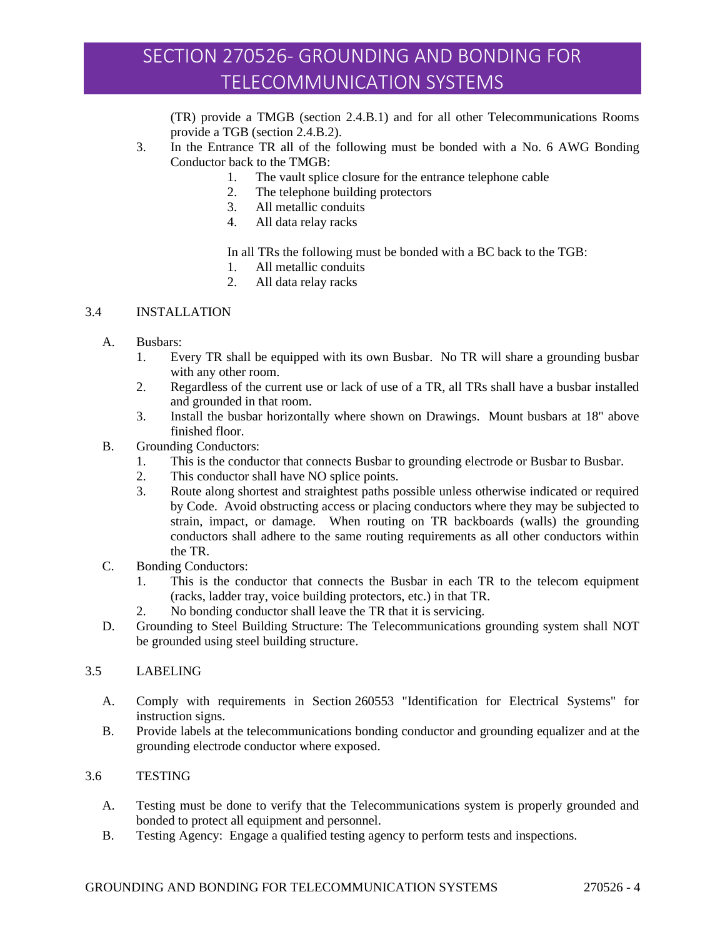# SECTION 270526- GROUNDING AND BONDING FOR TELECOMMUNICATION SYSTEMS

(TR) provide a TMGB (section 2.4.B.1) and for all other Telecommunications Rooms provide a TGB (section 2.4.B.2).

- 3. In the Entrance TR all of the following must be bonded with a No. 6 AWG Bonding Conductor back to the TMGB:
	- 1. The vault splice closure for the entrance telephone cable
	- 2. The telephone building protectors
	- 3. All metallic conduits
	- 4. All data relay racks

In all TRs the following must be bonded with a BC back to the TGB:

- 1. All metallic conduits
- 2. All data relay racks

## 3.4 INSTALLATION

- A. Busbars:
	- 1. Every TR shall be equipped with its own Busbar. No TR will share a grounding busbar with any other room.
	- 2. Regardless of the current use or lack of use of a TR, all TRs shall have a busbar installed and grounded in that room.
	- 3. Install the busbar horizontally where shown on Drawings. Mount busbars at 18" above finished floor.
- B. Grounding Conductors:
	- 1. This is the conductor that connects Busbar to grounding electrode or Busbar to Busbar.
	- 2. This conductor shall have NO splice points.
	- 3. Route along shortest and straightest paths possible unless otherwise indicated or required by Code. Avoid obstructing access or placing conductors where they may be subjected to strain, impact, or damage. When routing on TR backboards (walls) the grounding conductors shall adhere to the same routing requirements as all other conductors within the TR.
- C. Bonding Conductors:
	- 1. This is the conductor that connects the Busbar in each TR to the telecom equipment (racks, ladder tray, voice building protectors, etc.) in that TR.
	- 2. No bonding conductor shall leave the TR that it is servicing.
- D. Grounding to Steel Building Structure: The Telecommunications grounding system shall NOT be grounded using steel building structure.

#### 3.5 LABELING

- A. Comply with requirements in Section 260553 "Identification for Electrical Systems" for instruction signs.
- B. Provide labels at the telecommunications bonding conductor and grounding equalizer and at the grounding electrode conductor where exposed.

# 3.6 TESTING

- A. Testing must be done to verify that the Telecommunications system is properly grounded and bonded to protect all equipment and personnel.
- B. Testing Agency: Engage a qualified testing agency to perform tests and inspections.